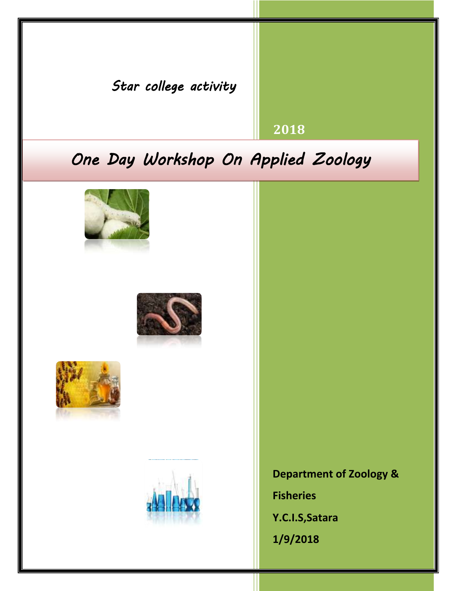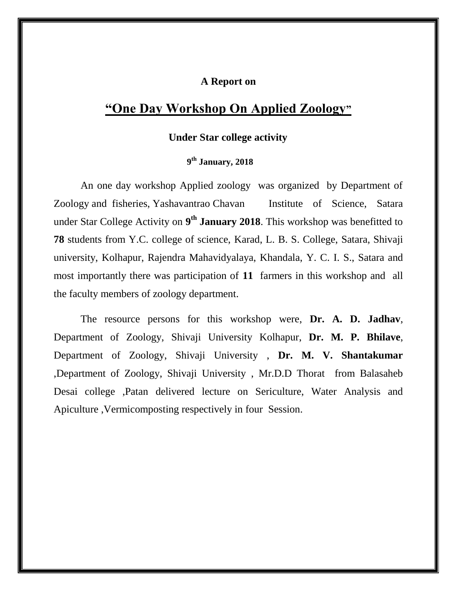## **A Report on**

## **"One Day Workshop On Applied Zoology"**

## **Under Star college activity**

## **9 th January, 2018**

An one day workshop Applied zoology was organized by Department of Zoology and fisheries, Yashavantrao Chavan Institute of Science, Satara under Star College Activity on **9 th January 2018**. This workshop was benefitted to **78** students from Y.C. college of science, Karad, L. B. S. College, Satara, Shivaji university, Kolhapur, Rajendra Mahavidyalaya, Khandala, Y. C. I. S., Satara and most importantly there was participation of **11** farmers in this workshop and all the faculty members of zoology department.

The resource persons for this workshop were, **Dr. A. D. Jadhav**, Department of Zoology, Shivaji University Kolhapur, **Dr. M. P. Bhilave**, Department of Zoology, Shivaji University , **Dr. M. V. Shantakumar** ,Department of Zoology, Shivaji University , Mr.D.D Thorat from Balasaheb Desai college ,Patan delivered lecture on Sericulture, Water Analysis and Apiculture ,Vermicomposting respectively in four Session.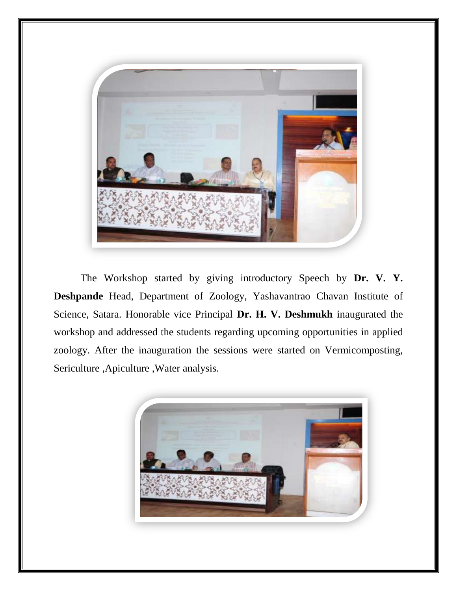

The Workshop started by giving introductory Speech by **Dr. V. Y. Deshpande** Head, Department of Zoology, Yashavantrao Chavan Institute of Science, Satara. Honorable vice Principal **Dr. H. V. Deshmukh** inaugurated the workshop and addressed the students regarding upcoming opportunities in applied zoology. After the inauguration the sessions were started on Vermicomposting, Sericulture ,Apiculture ,Water analysis.

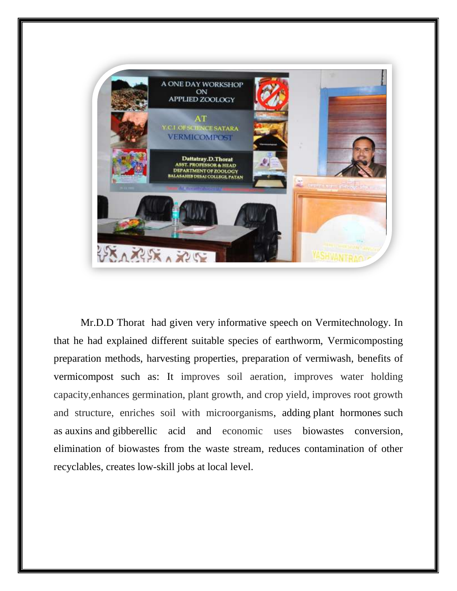

Mr.D.D Thorat had given very informative speech on Vermitechnology. In that he had explained different suitable species of earthworm, Vermicomposting preparation methods, harvesting properties, preparation of vermiwash, benefits of vermicompost such as: It improves soil aeration, improves water holding capacity,enhances germination, plant growth, and crop yield, improves root growth and structure, enriches soil with microorganisms, adding [plant hormones](https://en.wikipedia.org/wiki/Plant_hormone) such as [auxins](https://en.wikipedia.org/wiki/Auxins) and [gibberellic acid](https://en.wikipedia.org/wiki/Gibberellic_acid) and economic uses biowastes conversion, elimination of biowastes from the waste stream, reduces contamination of other recyclables, creates low-skill jobs at local level.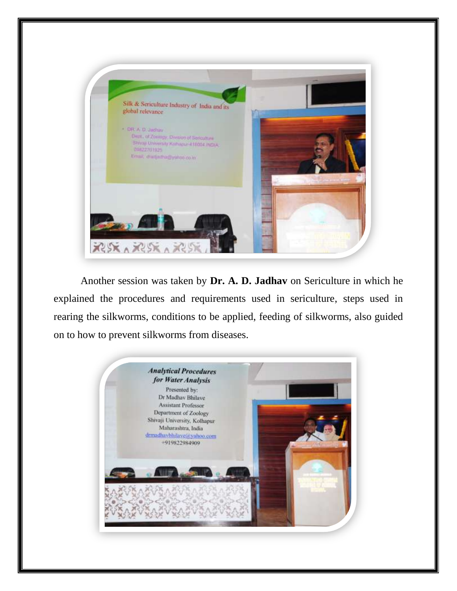

Another session was taken by **Dr. A. D. Jadhav** on Sericulture in which he explained the procedures and requirements used in sericulture, steps used in rearing the silkworms, conditions to be applied, feeding of silkworms, also guided on to how to prevent silkworms from diseases.

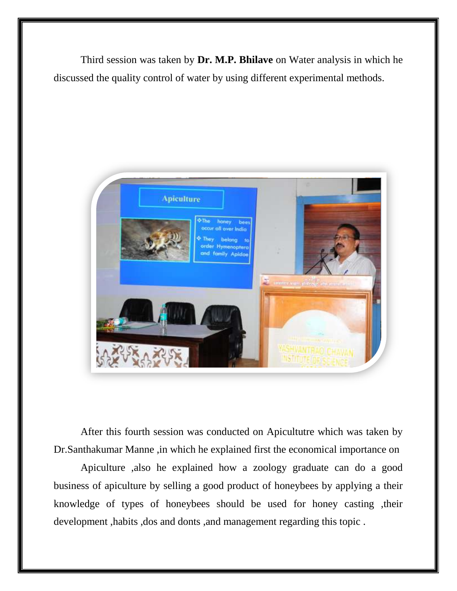Third session was taken by **Dr. M.P. Bhilave** on Water analysis in which he discussed the quality control of water by using different experimental methods.



After this fourth session was conducted on Apicultutre which was taken by Dr.Santhakumar Manne ,in which he explained first the economical importance on

Apiculture ,also he explained how a zoology graduate can do a good business of apiculture by selling a good product of honeybees by applying a their knowledge of types of honeybees should be used for honey casting ,their development ,habits ,dos and donts ,and management regarding this topic .